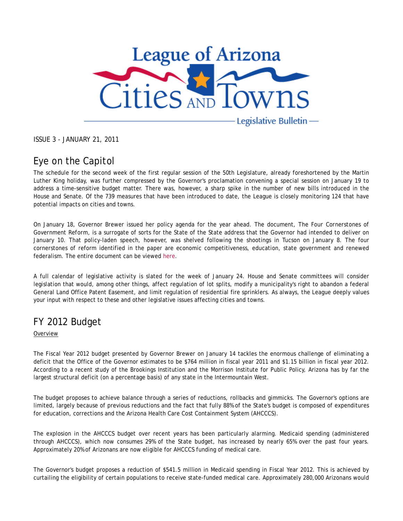

ISSUE 3 - JANUARY 21, 2011

# Eye on the Capitol

The schedule for the second week of the first regular session of the 50th Legislature, already foreshortened by the Martin Luther King holiday, was further compressed by the Governor's proclamation convening a special session on January 19 to address a time-sensitive budget matter. There was, however, a sharp spike in the number of new bills introduced in the House and Senate. Of the 739 measures that have been introduced to date, the League is closely monitoring 124 that have potential impacts on cities and towns.

On January 18, Governor Brewer issued her policy agenda for the year ahead. The document, *The Four Cornerstones of Government Reform,* is a surrogate of sorts for the State of the State address that the Governor had intended to deliver on January 10. That policy-laden speech, however, was shelved following the shootings in Tucson on January 8. The four cornerstones of reform identified in the paper are economic competitiveness, education, state government and renewed federalism. The entire document can be viewed here.

A full calendar of legislative activity is slated for the week of January 24. House and Senate committees will consider legislation that would, among other things, affect regulation of lot splits, modify a municipality's right to abandon a federal General Land Office Patent Easement, and limit regulation of residential fire sprinklers. As always, the League deeply values your input with respect to these and other legislative issues affecting cities and towns.

## FY 2012 Budget

Overview

The Fiscal Year 2012 budget presented by Governor Brewer on January 14 tackles the enormous challenge of eliminating a deficit that the Office of the Governor estimates to be \$764 million in fiscal year 2011 and \$1.15 billion in fiscal year 2012. According to a recent study of the Brookings Institution and the Morrison Institute for Public Policy, Arizona has by far the largest structural deficit (on a percentage basis) of any state in the Intermountain West.

The budget proposes to achieve balance through a series of reductions, rollbacks and gimmicks. The Governor's options are limited, largely because of previous reductions and the fact that fully 88% of the State's budget is composed of expenditures for education, corrections and the Arizona Health Care Cost Containment System (AHCCCS).

The explosion in the AHCCCS budget over recent years has been particularly alarming. Medicaid spending (administered through AHCCCS), which now consumes 29% of the State budget, has increased by nearly 65% over the past four years. Approximately 20% of Arizonans are now eligible for AHCCCS funding of medical care.

The Governor's budget proposes a reduction of \$541.5 million in Medicaid spending in Fiscal Year 2012. This is achieved by curtailing the eligibility of certain populations to receive state-funded medical care. Approximately 280,000 Arizonans would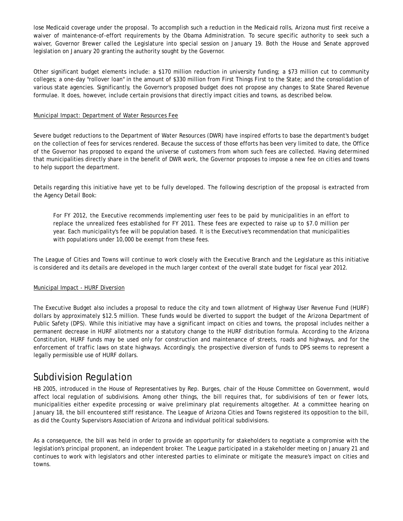lose Medicaid coverage under the proposal. To accomplish such a reduction in the Medicaid rolls, Arizona must first receive a waiver of maintenance-of-effort requirements by the Obama Administration. To secure specific authority to seek such a waiver, Governor Brewer called the Legislature into special session on January 19. Both the House and Senate approved legislation on January 20 granting the authority sought by the Governor.

Other significant budget elements include: a \$170 million reduction in university funding; a \$73 million cut to community colleges; a one-day "rollover loan" in the amount of \$330 million from First Things First to the State; and the consolidation of various state agencies. Significantly, the Governor's proposed budget does not propose any changes to State Shared Revenue formulae. It does, however, include certain provisions that directly impact cities and towns, as described below.

#### Municipal Impact: Department of Water Resources Fee

Severe budget reductions to the Department of Water Resources (DWR) have inspired efforts to base the department's budget on the collection of fees for services rendered. Because the success of those efforts has been very limited to date, the Office of the Governor has proposed to expand the universe of customers from whom such fees are collected. Having determined that municipalities directly share in the benefit of DWR work, the Governor proposes to impose a new fee on cities and towns to help support the department.

Details regarding this initiative have yet to be fully developed. The following description of the proposal is extracted from the Agency Detail Book:

For FY 2012, the Executive recommends implementing user fees to be paid by municipalities in an effort to replace the unrealized fees established for FY 2011. These fees are expected to raise up to \$7.0 million per year. Each municipality's fee will be population based. It is the Executive's recommendation that municipalities with populations under 10,000 be exempt from these fees.

The League of Cities and Towns will continue to work closely with the Executive Branch and the Legislature as this initiative is considered and its details are developed in the much larger context of the overall state budget for fiscal year 2012.

#### Municipal Impact - HURF Diversion

The Executive Budget also includes a proposal to reduce the city and town allotment of Highway User Revenue Fund (HURF) dollars by approximately \$12.5 million. These funds would be diverted to support the budget of the Arizona Department of Public Safety (DPS). While this initiative may have a significant impact on cities and towns, the proposal includes neither a permanent decrease in HURF allotments nor a statutory change to the HURF distribution formula. According to the Arizona Constitution, HURF funds may be used only for construction and maintenance of streets, roads and highways, and for the enforcement of *traffic laws on state highways.* Accordingly, the prospective diversion of funds to DPS seems to represent a legally permissible use of HURF dollars.

### Subdivision Regulation

HB 2005, introduced in the House of Representatives by Rep. Burges, chair of the House Committee on Government, would affect local regulation of subdivisions. Among other things, the bill requires that, for subdivisions of ten or fewer lots, municipalities either expedite processing or waive preliminary plat requirements altogether. At a committee hearing on January 18, the bill encountered stiff resistance. The League of Arizona Cities and Towns registered its opposition to the bill, as did the County Supervisors Association of Arizona and individual political subdivisions.

As a consequence, the bill was held in order to provide an opportunity for stakeholders to negotiate a compromise with the legislation's principal proponent, an independent broker. The League participated in a stakeholder meeting on January 21 and continues to work with legislators and other interested parties to eliminate or mitigate the measure's impact on cities and towns.